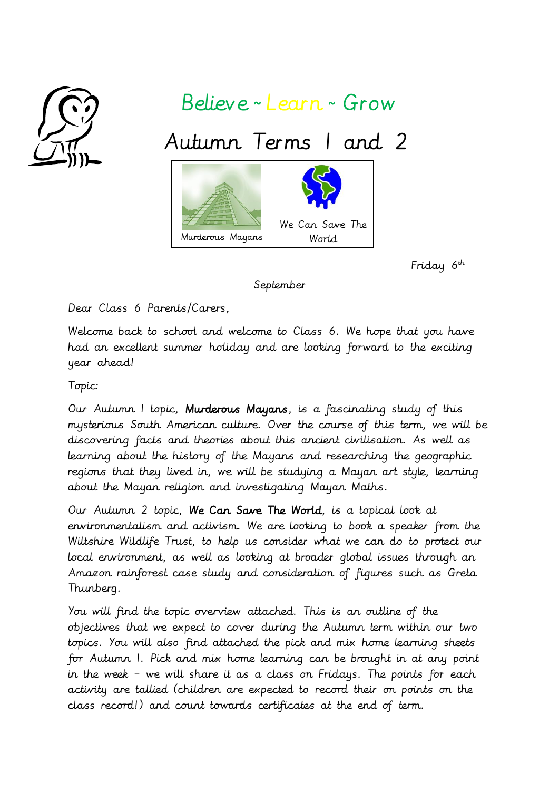

## Believe **~** Learn <sup>~</sup>Grow

# Autumn Terms 1 and 2



Friday 6<sup>th</sup>

September

Dear Class 6 Parents/Carers,

Welcome back to school and welcome to Class 6. We hope that you have had an excellent summer holiday and are looking forward to the exciting year ahead!

Topic:

Our Autumn 1 topic, Murderous Mayans, is a fascinating study of this mysterious South American culture. Over the course of this term, we will be discovering facts and theories about this ancient civilisation. As well as learning about the history of the Mayans and researching the geographic regions that they lived in, we will be studying a Mayan art style, learning about the Mayan religion and investigating Mayan Maths.

Our Autumn 2 topic, We Can Save The World, is a topical look at environmentalism and activism. We are looking to book a speaker from the Wiltshire Wildlife Trust, to help us consider what we can do to protect our local environment, as well as looking at broader global issues through an Amazon rainforest case study and consideration of figures such as Greta Thunberg.

You will find the topic overview attached. This is an outline of the objectives that we expect to cover during the Autumn term within our two topics. You will also find attached the pick and mix home learning sheets for Autumn 1. Pick and mix home learning can be brought in at any point in the week – we will share it as a class on Fridays. The points for each activity are tallied (children are expected to record their on points on the class record!) and count towards certificates at the end of term.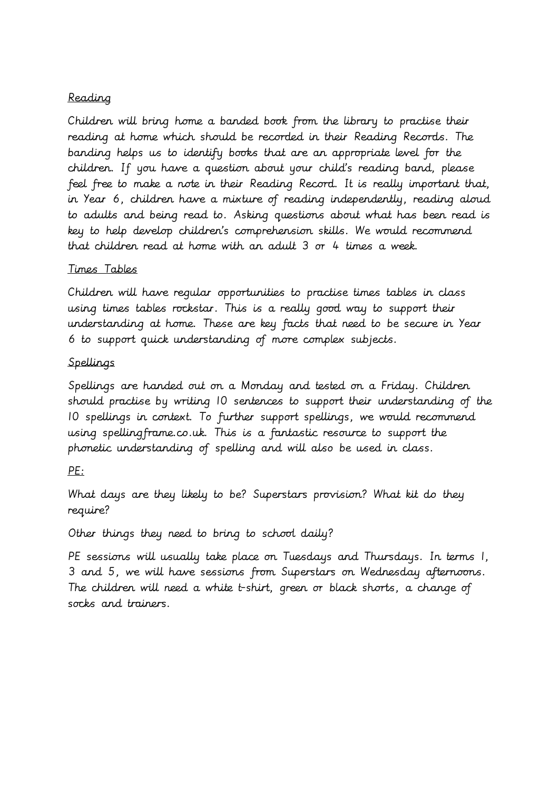## Reading

Children will bring home a banded book from the library to practise their reading at home which should be recorded in their Reading Records. The banding helps us to identify books that are an appropriate level for the children. If you have a question about your child's reading band, please feel free to make a note in their Reading Record. It is really important that, in Year 6, children have a mixture of reading independently, reading aloud to adults and being read to. Asking questions about what has been read is key to help develop children's comprehension skills. We would recommend that children read at home with an adult 3 or 4 times a week.

### Times Tables

Children will have regular opportunities to practise times tables in class using times tables rockstar. This is a really good way to support their understanding at home. These are key facts that need to be secure in Year 6 to support quick understanding of more complex subjects.

### Spellings

Spellings are handed out on a Monday and tested on a Friday. Children should practise by writing 10 sentences to support their understanding of the 10 spellings in context. To further support spellings, we would recommend using spellingframe.co.uk. This is a fantastic resource to support the phonetic understanding of spelling and will also be used in class.

### PE:

What days are they likely to be? Superstars provision? What kit do they require?

### Other things they need to bring to school daily?

PE sessions will usually take place on Tuesdays and Thursdays. In terms 1, 3 and 5, we will have sessions from Superstars on Wednesday afternoons. The children will need a white t-shirt, green or black shorts, a change of socks and trainers.